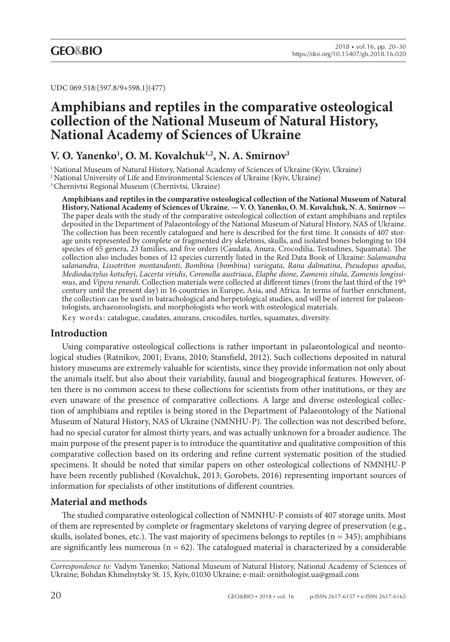UDC 069.518:[597.8/9+598.1](477)

# **Amphibians and reptiles in the comparative osteological collection of the National Museum of Natural History, National Academy of Sciences of Ukraine**

# **V. O. Yanenko1 , O. M. Kovalchuk1,2, N. A. Smirnov3**

<sup>1</sup> National Museum of Natural History, National Academy of Sciences of Ukraine (Kyiv, Ukraine)

<sup>2</sup> National University of Life and Environmental Sciences of Ukraine (Kyiv, Ukraine)

3 Chernivtsi Regional Museum (Chernivtsi, Ukraine)

**Amphibians and reptiles in the comparative osteological collection of the National Museum of Natural History, National Academy of Sciences of Ukraine. — V. O. Yanenko, O. M. Kovalchuk, N. A. Smirnov —** The paper deals with the study of the comparative osteological collection of extant amphibians and reptiles deposited in the Department of Palaeontology of the National Museum of Natural History, NAS of Ukraine. The collection has been recently catalogued and here is described for the first time. It consists of 407 storage units represented by complete or fragmented dry skeletons, skulls, and isolated bones belonging to 104 species of 65 genera, 23 families, and five orders (Caudata, Anura, Crocodilia, Testudines, Squamata). The collection also includes bones of 12 species currently listed in the Red Data Book of Ukraine: *Salamandra salanandra*, *Lissotriton montandonti*, *Bombina* (*bombina*) *variegata*, *Rana dalmatina*, *Pseudopus apodus*, *Mediodactylus kotschyi*, *Lacerta viridis*, *Coronella austriaca*, *Elaphe dione*, *Zamenis situla*, *Zamenis longissimus*, and *Vipera renardi*. Collection materials were collected at different times (from the last third of the 19th century until the present day) in 16 countries in Europe, Asia, and Africa. In terms of further enrichment, the collection can be used in batrachological and herpetological studies, and will be of interest for palaeontologists, archaeozoologists, and morphologists who work with osteological materials.

Key words: catalogue, caudates, anurans, crocodiles, turtles, squamates, diversity.

### **Introduction**

Using comparative osteological collections is rather important in palaeontological and neontological studies (Ratnikov, 2001; Evans, 2010; Stansfield, 2012). Such collections deposited in natural history museums are extremely valuable for scientists, since they provide information not only about the animals itself, but also about their variability, faunal and biogeographical features. However, often there is no common access to these collections for scientists from other institutions, or they are even unaware of the presence of comparative collections. A large and diverse osteological collection of amphibians and reptiles is being stored in the Department of Palaeontology of the National Museum of Natural History, NAS of Ukraine (NMNHU-P). The collection was not described before, had no special curator for almost thirty years, and was actually unknown for a broader audience. The main purpose of the present paper is to introduce the quantitative and qualitative composition of this comparative collection based on its ordering and refine current systematic position of the studied specimens. It should be noted that similar papers on other osteological collections of NMNHU-P have been recently published (Kovalchuk, 2013; Gorobets, 2016) representing important sources of information for specialists of other institutions of different countries.

# **Material and methods**

The studied comparative osteological collection of NMNHU-P consists of 407 storage units. Most of them are represented by complete or fragmentary skeletons of varying degree of preservation (e.g., skulls, isolated bones, etc.). The vast majority of specimens belongs to reptiles ( $n = 345$ ); amphibians are significantly less numerous ( $n = 62$ ). The catalogued material is characterized by a considerable

*Correspondence to:* Vadym Yanenko; National Museum of Natural History, National Academy of Sciences of Ukraine; Bohdan Khmelnytsky St. 15, Kyiv, 01030 Ukraine; e-mail: ornithologist.ua@gmail.com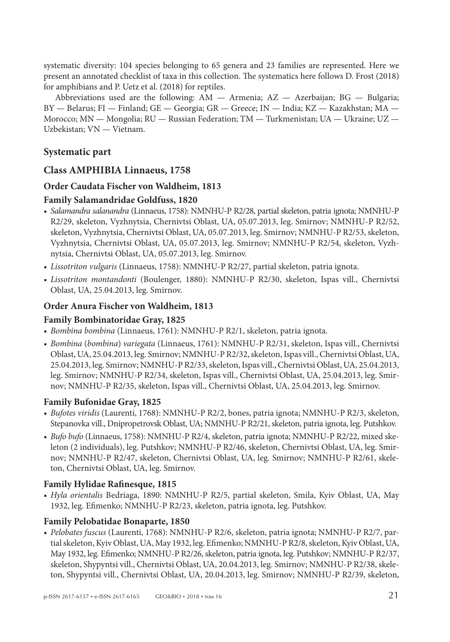systematic diversity: 104 species belonging to 65 genera and 23 families are represented. Here we present an annotated checklist of taxa in this collection. The systematics here follows D. Frost (2018) for amphibians and P. Uetz et al. (2018) for reptiles.

Abbreviations used are the following: AM — Armenia; AZ — Azerbaijan; BG — Bulgaria; BY — Belarus; FI — Finland; GE — Georgia; GR — Greece; IN — India; KZ — Kazakhstan; MA — Morocco; MN — Mongolia; RU — Russian Federation; TM — Turkmenistan; UA — Ukraine; UZ — Uzbekistan; VN — Vietnam.

## **Systematic part**

#### **Class AMPHIBIA Linnaeus, 1758**

#### **Order Caudata Fischer von Waldheim, 1813**

#### **Family Salamandridae Goldfuss, 1820**

- *• Salamandra salanandra* (Linnaeus, 1758): NMNHU-P R2/28, partial skeleton, patria ignota; NMNHU-P R2/29, skeleton, Vyzhnytsia, Chernivtsi Oblast, UA, 05.07.2013, leg. Smirnov; NMNHU-P R2/52, skeleton, Vyzhnytsia, Chernivtsi Oblast, UA, 05.07.2013, leg. Smirnov; NMNHU-P R2/53, skeleton, Vyzhnytsia, Chernivtsi Oblast, UA, 05.07.2013, leg. Smirnov; NMNHU-P R2/54, skeleton, Vyzhnytsia, Chernivtsi Oblast, UA, 05.07.2013, leg. Smirnov.
- *• Lissotriton vulgaris* (Linnaeus, 1758): NMNHU-P R2/27, partial skeleton, patria ignota.
- *• Lissotriton montandonti* (Boulenger, 1880): NMNHU-P R2/30, skeleton, Ispas vill., Chernivtsi Oblast, UA, 25.04.2013, leg. Smirnov.

#### **Order Anura Fischer von Waldheim, 1813**

#### **Family Bombinatoridae Gray, 1825**

- *• Bombina bombina* (Linnaeus, 1761): NMNHU-P R2/1, skeleton, patria ignota.
- *• Bombina* (*bombina*) *variegata* (Linnaeus, 1761): NMNHU-P R2/31, skeleton, Ispas vill., Chernivtsi Oblast, UA, 25.04.2013, leg. Smirnov; NMNHU-P R2/32, skeleton, Ispas vill., Chernivtsi Oblast, UA, 25.04.2013, leg. Smirnov; NMNHU-P R2/33, skeleton, Ispas vill., Chernivtsi Oblast, UA, 25.04.2013, leg. Smirnov; NMNHU-P R2/34, skeleton, Ispas vill., Chernivtsi Oblast, UA, 25.04.2013, leg. Smirnov; NMNHU-P R2/35, skeleton, Ispas vill., Chernivtsi Oblast, UA, 25.04.2013, leg. Smirnov.

#### **Family Bufonidae Gray, 1825**

- *• Bufotes viridis* (Laurenti, 1768): NMNHU-P R2/2, bones, patria ignota; NMNHU-P R2/3, skeleton, Stepanovka vill., Dnipropetrovsk Oblast, UA; NMNHU-P R2/21, skeleton, patria ignota, leg. Putshkov.
- *• Bufo bufo* (Linnaeus, 1758): NMNHU-P R2/4, skeleton, patria ignota; NMNHU-P R2/22, mixed skeleton (2 individuals), leg. Putshkov; NMNHU-P R2/46, skeleton, Chernivtsi Oblast, UA, leg. Smirnov; NMNHU-P R2/47, skeleton, Chernivtsi Oblast, UA, leg. Smirnov; NMNHU-P R2/61, skeleton, Chernivtsi Oblast, UA, leg. Smirnov.

#### **Family Hylidae Rafinesque, 1815**

*• Hyla orientalis* Bedriaga, 1890: NMNHU-P R2/5, partial skeleton, Smila, Kyiv Oblast, UA, May 1932, leg. Efimenko; NMNHU-P R2/23, skeleton, patria ignota, leg. Putshkov.

#### **Family Pelobatidae Bonaparte, 1850**

*• Pelobates fuscus* (Laurenti, 1768): NMNHU-P R2/6, skeleton, patria ignota; NMNHU-P R2/7, partial skeleton, Kyiv Oblast, UA, May 1932, leg. Efimenko; NMNHU-P R2/8, skeleton, Kyiv Oblast, UA, May 1932, leg. Efimenko; NMNHU-P R2/26, skeleton, patria ignota, leg. Putshkov; NMNHU-P R2/37, skeleton, Shypyntsi vill., Chernivtsi Oblast, UA, 20.04.2013, leg. Smirnov; NMNHU-P R2/38, skeleton, Shypyntsi vill., Chernivtsi Oblast, UA, 20.04.2013, leg. Smirnov; NMNHU-P R2/39, skeleton,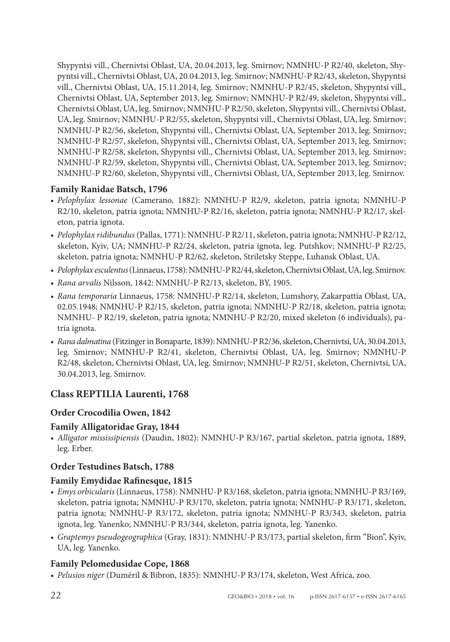Shypyntsi vill., Chernivtsi Oblast, UA, 20.04.2013, leg. Smirnov; NMNHU-P R2/40, skeleton, Shypyntsi vill., Chernivtsi Oblast, UA, 20.04.2013, leg. Smirnov; NMNHU-P R2/43, skeleton, Shypyntsi vill., Chernivtsi Oblast, UA, 15.11.2014, leg. Smirnov; NMNHU-P R2/45, skeleton, Shypyntsi vill., Chernivtsi Oblast, UA, September 2013, leg. Smirnov; NMNHU-P R2/49, skeleton, Shypyntsi vill., Chernivtsi Oblast, UA, leg. Smirnov; NMNHU-P R2/50, skeleton, Shypyntsi vill., Chernivtsi Oblast, UA, leg. Smirnov; NMNHU-P R2/55, skeleton, Shypyntsi vill., Chernivtsi Oblast, UA, leg. Smirnov; NMNHU-P R2/56, skeleton, Shypyntsi vill., Chernivtsi Oblast, UA, September 2013, leg. Smirnov; NMNHU-P R2/57, skeleton, Shypyntsi vill., Chernivtsi Oblast, UA, September 2013, leg. Smirnov; NMNHU-P R2/58, skeleton, Shypyntsi vill., Chernivtsi Oblast, UA, September 2013, leg. Smirnov; NMNHU-P R2/59, skeleton, Shypyntsi vill., Chernivtsi Oblast, UA, September 2013, leg. Smirnov; NMNHU-P R2/60, skeleton, Shypyntsi vill., Chernivtsi Oblast, UA, September 2013, leg. Smirnov.

### **Family Ranidae Batsch, 1796**

- *• Pelophylax lessonae* (Camerano, 1882): NMNHU-P R2/9, skeleton, patria ignota; NMNHU-P R2/10, skeleton, patria ignota; NMNHU-P R2/16, skeleton, patria ignota; NMNHU-P R2/17, skeleton, patria ignota.
- *• Pelophylax ridibundus* (Pallas, 1771): NMNHU-P R2/11, skeleton, patria ignota; NMNHU-P R2/12, skeleton, Kyiv, UA; NMNHU-P R2/24, skeleton, patria ignota, leg. Putshkov; NMNHU-P R2/25, skeleton, patria ignota; NMNHU-P R2/62, skeleton, Striletsky Steppe, Luhansk Oblast, UA.
- *• Pelophylax esculentus* (Linnaeus, 1758): NMNHU-P R2/44, skeleton, Chernivtsi Oblast, UA, leg. Smirnov.
- *• Rana arvalis* Nilsson, 1842: NMNHU-P R2/13, skeleton, BY, 1905.
- *• Rana temporaria* Linnaeus, 1758: NMNHU-P R2/14, skeleton, Lumshory, Zakarpattia Oblast, UA, 02.05.1948; NMNHU-P R2/15, skeleton, patria ignota; NMNHU-P R2/18, skeleton, patria ignota; NMNHU- P R2/19, skeleton, patria ignota; NMNHU-P R2/20, mixed skeleton (6 individuals), patria ignota.
- *• Rana dalmatina* (Fitzinger in Bonaparte, 1839): NMNHU-P R2/36, skeleton, Chernivtsi, UA, 30.04.2013, leg. Smirnov; NMNHU-P R2/41, skeleton, Chernivtsi Oblast, UA, leg. Smirnov; NMNHU-P R2/48, skeleton, Chernivtsi Oblast, UA, leg. Smirnov; NMNHU-P R2/51, skeleton, Chernivtsi, UA, 30.04.2013, leg. Smirnov.

# **Class REPTILIA Laurenti, 1768**

### **Order Crocodilia Owen, 1842**

### **Family Alligatoridae Gray, 1844**

*• Alligator mississipiensis* (Daudin, 1802): NMNHU-P R3/167, partial skeleton, patria ignota, 1889, leg. Erber.

# **Order Testudines Batsch, 1788**

### **Family Emydidae Rafinesque, 1815**

- *• Emys orbicularis* (Linnaeus, 1758): NMNHU-P R3/168, skeleton, patria ignota; NMNHU-P R3/169, skeleton, patria ignota; NMNHU-P R3/170, skeleton, patria ignota; NMNHU-P R3/171, skeleton, patria ignota; NMNHU-P R3/172, skeleton, patria ignota; NMNHU-P R3/343, skeleton, patria ignota, leg. Yanenko; NMNHU-P R3/344, skeleton, patria ignota, leg. Yanenko.
- *• Graptemys pseudogeographica* (Gray, 1831): NMNHU-P R3/173, partial skeleton, firm "Bion", Kyiv, UA, leg. Yanenko.

### **Family Pelomedusidae Cope, 1868**

*• Pelusios niger* (Duméril & Bibron, 1835): NMNHU-P R3/174, skeleton, West Africa, zoo.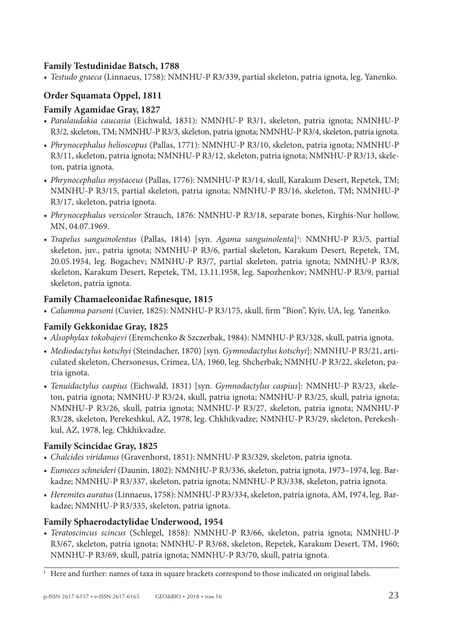### **Family Testudinidae Batsch, 1788**

*• Testudo graeca* (Linnaeus, 1758): NMNHU-P R3/339, partial skeleton, patria ignota, leg. Yanenko.

# **Order Squamata Oppel, 1811**

# **Family Agamidae Gray, 1827**

- *• Paralaudakia caucasia* (Eichwald, 1831): NMNHU-P R3/1, skeleton, patria ignota; NMNHU-P R3/2, skeleton, TM; NMNHU-P R3/3, skeleton, patria ignota; NMNHU-P R3/4, skeleton, patria ignota.
- *• Phrynocephalus helioscopus* (Pallas, 1771): NMNHU-P R3/10, skeleton, patria ignota; NMNHU-P R3/11, skeleton, patria ignota; NMNHU-P R3/12, skeleton, patria ignota; NMNHU-P R3/13, skeleton, patria ignota.
- *• Phrynocephalus mystaceus* (Pallas, 1776): NMNHU-P R3/14, skull, Karakum Desert, Repetek, TM; NMNHU-P R3/15, partial skeleton, patria ignota; NMNHU-P R3/16, skeleton, TM; NMNHU-P R3/17, skeleton, patria ignota.
- *• Phrynocephalus versicolor* Strauch, 1876: NMNHU-P R3/18, separate bones, Kirghis-Nur hollow, MN, 04.07.1969.
- *Trapelus sanguinolentus* (Pallas, 1814) [syn. *Agama sanguinolenta*]<sup>1</sup>: NMNHU-P R3/5, partial skeleton, juv., patria ignota; NMNHU-P R3/6, partial skeleton, Karakum Desert, Repetek, TM, 20.05.1954, leg. Bogachev; NMNHU-P R3/7, partial skeleton, patria ignota; NMNHU-P R3/8, skeleton, Karakum Desert, Repetek, TM, 13.11.1958, leg. Sapozhenkov; NMNHU-P R3/9, partial skeleton, patria ignota.

### **Family Chamaeleonidae Rafinesque, 1815**

*• Calumma parsoni* (Cuvier, 1825): NMNHU-P R3/175, skull, firm "Bion", Kyiv, UA, leg. Yanenko.

# **Family Gekkonidae Gray, 1825**

- *• Alsophylax tokobajevi* (Eremchenko & Szczerbak, 1984): NMNHU-P R3/328, skull, patria ignota.
- *• Mediodactylus kotschyi* (Steindacher, 1870) [syn. *Gymnodactylus kotschyi*]: NMNHU-P R3/21, articulated skeleton, Chersonesus, Crimea, UA, 1960, leg. Shcherbak; NMNHU-P R3/22, skeleton, patria ignota.
- *• Tenuidactylus caspius* (Eichwald, 1831) [syn. *Gymnodactylus caspius*]: NMNHU-P R3/23, skeleton, patria ignota; NMNHU-P R3/24, skull, patria ignota; NMNHU-P R3/25, skull, patria ignota; NMNHU-P R3/26, skull, patria ignota; NMNHU-P R3/27, skeleton, patria ignota; NMNHU-P R3/28, skeleton, Perekeshkul, AZ, 1978, leg. Chkhikvadze; NMNHU-P R3/29, skeleton, Perekeshkul, AZ, 1978, leg. Chkhikvadze.

# **Family Scincidae Gray, 1825**

- *• Chalcides viridanus* (Gravenhorst, 1851): NMNHU-P R3/329, skeleton, patria ignota.
- *• Eumeces schneideri* (Daunin, 1802): NMNHU-P R3/336, skeleton, patria ignota, 1973–1974, leg. Barkadze; NMNHU-P R3/337, skeleton, patria ignota; NMNHU-P R3/338, skeleton, patria ignota.
- *• Heremites auratus* (Linnaeus, 1758): NMNHU-P R3/334, skeleton, patria ignota, AM, 1974, leg. Barkadze; NMNHU-P R3/335, skeleton, patria ignota.

# **Family Sphaerodactylidae Underwood, 1954**

*• Teratoscincus scincus* (Schlegel, 1858): NMNHU-P R3/66, skeleton, patria ignota; NMNHU-P R3/67, skeleton, patria ignota; NMNHU-P R3/68, skeleton, Repetek, Karakum Desert, TM, 1960; NMNHU-P R3/69, skull, patria ignota; NMNHU-P R3/70, skull, patria ignota.

<sup>&</sup>lt;sup>1</sup> Here and further: names of taxa in square brackets correspond to those indicated on original labels.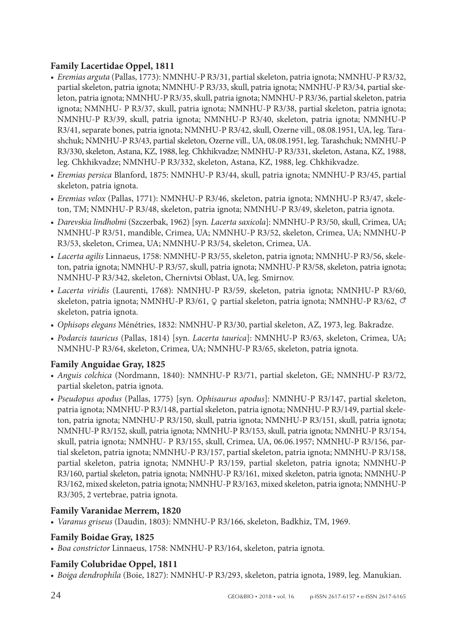## **Family Lacertidae Oppel, 1811**

- *• Eremias arguta* (Pallas, 1773): NMNHU-P R3/31, partial skeleton, patria ignota; NMNHU-P R3/32, partial skeleton, patria ignota; NMNHU-P R3/33, skull, patria ignota; NMNHU-P R3/34, partial skeleton, patria ignota; NMNHU-P R3/35, skull, patria ignota; NMNHU-P R3/36, partial skeleton, patria ignota; NMNHU- P R3/37, skull, patria ignota; NMNHU-P R3/38, partial skeleton, patria ignota; NMNHU-P R3/39, skull, patria ignota; NMNHU-P R3/40, skeleton, patria ignota; NMNHU-P R3/41, separate bones, patria ignota; NMNHU-P R3/42, skull, Ozerne vill., 08.08.1951, UA, leg. Tarashchuk; NMNHU-P R3/43, partial skeleton, Ozerne vill., UA, 08.08.1951, leg. Tarashchuk; NMNHU-P R3/330, skeleton, Astana, KZ, 1988, leg. Chkhikvadze; NMNHU-P R3/331, skeleton, Astana, KZ, 1988, leg. Chkhikvadze; NMNHU-P R3/332, skeleton, Astana, KZ, 1988, leg. Chkhikvadze.
- *• Eremias persica* Blanford, 1875: NMNHU-P R3/44, skull, patria ignota; NMNHU-P R3/45, partial skeleton, patria ignota.
- *• Eremias velox* (Pallas, 1771): NMNHU-P R3/46, skeleton, patria ignota; NMNHU-P R3/47, skeleton, TM; NMNHU-P R3/48, skeleton, patria ignota; NMNHU-P R3/49, skeleton, patria ignota.
- *• Darevskia lindholmi* (Szczerbak, 1962) [syn. *Lacerta saxicola*]: NMNHU-P R3/50, skull, Crimea, UA; NMNHU-P R3/51, mandible, Crimea, UA; NMNHU-P R3/52, skeleton, Crimea, UA; NMNHU-P R3/53, skeleton, Crimea, UA; NMNHU-P R3/54, skeleton, Crimea, UA.
- *• Lacerta agilis* Linnaeus, 1758: NMNHU-P R3/55, skeleton, patria ignota; NMNHU-P R3/56, skeleton, patria ignota; NMNHU-P R3/57, skull, patria ignota; NMNHU-P R3/58, skeleton, patria ignota; NMNHU-P R3/342, skeleton, Chernivtsi Oblast, UA, leg. Smirnov.
- *• Lacerta viridis* (Laurenti, 1768): NMNHU-P R3/59, skeleton, patria ignota; NMNHU-P R3/60, skeleton, patria ignota; NMNHU-P R3/61,  $\varphi$  partial skeleton, patria ignota; NMNHU-P R3/62,  $\varphi$ skeleton, patria ignota.
- *• Ophisops elegans* Ménétries, 1832: NMNHU-P R3/30, partial skeleton, AZ, 1973, leg. Bakradze.
- *• Podarcis tauricus* (Pallas, 1814) [syn. *Lacerta taurica*]: NMNHU-P R3/63, skeleton, Crimea, UA; NMNHU-P R3/64, skeleton, Crimea, UA; NMNHU-P R3/65, skeleton, patria ignota.

# **Family Anguidae Gray, 1825**

- *• Anguis colchica* (Nordmann, 1840): NMNHU-P R3/71, partial skeleton, GE; NMNHU-P R3/72, partial skeleton, patria ignota.
- *• Pseudopus apodus* (Pallas, 1775) [syn. *Ophisaurus apodus*]: NMNHU-P R3/147, partial skeleton, patria ignota; NMNHU-P R3/148, partial skeleton, patria ignota; NMNHU-P R3/149, partial skeleton, patria ignota; NMNHU-P R3/150, skull, patria ignota; NMNHU-P R3/151, skull, patria ignota; NMNHU-P R3/152, skull, patria ignota; NMNHU-P R3/153, skull, patria ignota; NMNHU-P R3/154, skull, patria ignota; NMNHU- P R3/155, skull, Crimea, UA, 06.06.1957; NMNHU-P R3/156, partial skeleton, patria ignota; NMNHU-P R3/157, partial skeleton, patria ignota; NMNHU-P R3/158, partial skeleton, patria ignota; NMNHU-P R3/159, partial skeleton, patria ignota; NMNHU-P R3/160, partial skeleton, patria ignota; NMNHU-P R3/161, mixed skeleton, patria ignota; NMNHU-P R3/162, mixed skeleton, patria ignota; NMNHU-P R3/163, mixed skeleton, patria ignota; NMNHU-P R3/305, 2 vertebrae, patria ignota.

### **Family Varanidae Merrem, 1820**

*• Varanus griseus* (Daudin, 1803): NMNHU-P R3/166, skeleton, Badkhiz, TM, 1969.

### **Family Boidae Gray, 1825**

*• Boa constrictor* Linnaeus, 1758: NMNHU-P R3/164, skeleton, patria ignota.

### **Family Colubridae Oppel, 1811**

*• Boiga dendrophila* (Boie, 1827): NMNHU-P R3/293, skeleton, patria ignota, 1989, leg. Manukian.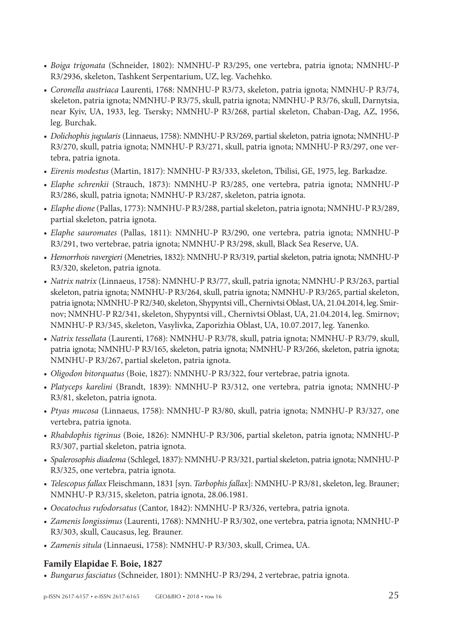- *• Boiga trigonata* (Schneider, 1802): NMNHU-P R3/295, one vertebra, patria ignota; NMNHU-P R3/2936, skeleton, Tashkent Serpentarium, UZ, leg. Vachehko.
- *• Coronella austriaca* Laurenti, 1768: NMNHU-P R3/73, skeleton, patria ignota; NMNHU-P R3/74, skeleton, patria ignota; NMNHU-P R3/75, skull, patria ignota; NMNHU-P R3/76, skull, Darnytsia, near Kyiv, UA, 1933, leg. Tsersky; NMNHU-P R3/268, partial skeleton, Chaban-Dag, AZ, 1956, leg. Burchak.
- *• Dolichophis jugularis* (Linnaeus, 1758): NMNHU-P R3/269, partial skeleton, patria ignota; NMNHU-P R3/270, skull, patria ignota; NMNHU-P R3/271, skull, patria ignota; NMNHU-P R3/297, one vertebra, patria ignota.
- *• Eirenis modestus* (Martin, 1817): NMNHU-P R3/333, skeleton, Tbilisi, GE, 1975, leg. Barkadze.
- *• Elaphe schrenkii* (Strauch, 1873): NMNHU-P R3/285, one vertebra, patria ignota; NMNHU-P R3/286, skull, patria ignota; NMNHU-P R3/287, skeleton, patria ignota.
- *• Elaphe dione* (Pallas, 1773): NMNHU-P R3/288, partial skeleton, patria ignota; NMNHU-P R3/289, partial skeleton, patria ignota.
- *• Elaphe sauromates* (Pallas, 1811): NMNHU-P R3/290, one vertebra, patria ignota; NMNHU-P R3/291, two vertebrae, patria ignota; NMNHU-P R3/298, skull, Black Sea Reserve, UA.
- *• Hemorrhois ravergieri* (Menetries, 1832): NMNHU-P R3/319, partial skeleton, patria ignota; NMNHU-P R3/320, skeleton, patria ignota.
- *• Natrix natrix* (Linnaeus, 1758): NMNHU-P R3/77, skull, patria ignota; NMNHU-P R3/263, partial skeleton, patria ignota; NMNHU-P R3/264, skull, patria ignota; NMNHU-P R3/265, partial skeleton, patria ignota; NMNHU-P R2/340, skeleton, Shypyntsi vill., Chernivtsi Oblast, UA, 21.04.2014, leg. Smirnov; NMNHU-P R2/341, skeleton, Shypyntsi vill., Chernivtsi Oblast, UA, 21.04.2014, leg. Smirnov; NMNHU-P R3/345, skeleton, Vasylivka, Zaporizhia Oblast, UA, 10.07.2017, leg. Yanenko.
- *• Natrix tessellata* (Laurenti, 1768): NMNHU-P R3/78, skull, patria ignota; NMNHU-P R3/79, skull, patria ignota; NMNHU-P R3/165, skeleton, patria ignota; NMNHU-P R3/266, skeleton, patria ignota; NMNHU-P R3/267, partial skeleton, patria ignota.
- *• Oligodon bitorquatus* (Boie, 1827): NMNHU-P R3/322, four vertebrae, patria ignota.
- *• Platyceps karelini* (Brandt, 1839): NMNHU-P R3/312, one vertebra, patria ignota; NMNHU-P R3/81, skeleton, patria ignota.
- *• Ptyas mucosa* (Linnaeus, 1758): NMNHU-P R3/80, skull, patria ignota; NMNHU-P R3/327, one vertebra, patria ignota.
- *• Rhabdophis tigrinus* (Boie, 1826): NMNHU-P R3/306, partial skeleton, patria ignota; NMNHU-P R3/307, partial skeleton, patria ignota.
- *• Spalerosophis diadema* (Schlegel, 1837): NMNHU-P R3/321, partial skeleton, patria ignota; NMNHU-P R3/325, one vertebra, patria ignota.
- *• Telescopus fallax* Fleischmann, 1831 [syn. *Tarbophis fallax*]: NMNHU-P R3/81, skeleton, leg. Brauner; NMNHU-P R3/315, skeleton, patria ignota, 28.06.1981.
- *• Oocatochus rufodorsatus* (Cantor, 1842): NMNHU-P R3/326, vertebra, patria ignota.
- *• Zamenis longissimus* (Laurenti, 1768): NMNHU-P R3/302, one vertebra, patria ignota; NMNHU-P R3/303, skull, Caucasus, leg. Brauner.
- *• Zamenis situla* (Linnaeusi, 1758): NMNHU-P R3/303, skull, Crimea, UA.

#### **Family Elapidae F. Boie, 1827**

*• Bungarus fasciatus* (Schneider, 1801): NMNHU-P R3/294, 2 vertebrae, patria ignota.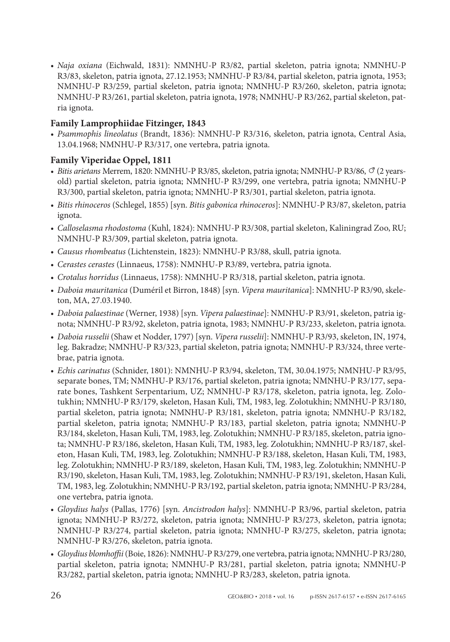*• Naja oxiana* (Eichwald, 1831): NMNHU-P R3/82, partial skeleton, patria ignota; NMNHU-P R3/83, skeleton, patria ignota, 27.12.1953; NMNHU-P R3/84, partial skeleton, patria ignota, 1953; NMNHU-P R3/259, partial skeleton, patria ignota; NMNHU-P R3/260, skeleton, patria ignota; NMNHU-P R3/261, partial skeleton, patria ignota, 1978; NMNHU-P R3/262, partial skeleton, patria ignota.

### **Family Lamprophiidae Fitzinger, 1843**

*• Psammophis lineolatus* (Brandt, 1836): NMNHU-P R3/316, skeleton, patria ignota, Central Asia, 13.04.1968; NMNHU-P R3/317, one vertebra, patria ignota.

#### **Family Viperidae Oppel, 1811**

- Bitis arietans Merrem, 1820: NMNHU-P R3/85, skeleton, patria ignota; NMNHU-P R3/86,  $\sigma$  (2 yearsold) partial skeleton, patria ignota; NMNHU-P R3/299, one vertebra, patria ignota; NMNHU-P R3/300, partial skeleton, patria ignota; NMNHU-P R3/301, partial skeleton, patria ignota.
- *• Bitis rhinoceros* (Schlegel, 1855) [syn. *Bitis gabonica rhinoceros*]: NMNHU-P R3/87, skeleton, patria ignota.
- *• Calloselasma rhodostoma* (Kuhl, 1824): NMNHU-P R3/308, partial skeleton, Kaliningrad Zoo, RU; NMNHU-P R3/309, partial skeleton, patria ignota.
- *• Causus rhombeatus* (Lichtenstein, 1823): NMNHU-P R3/88, skull, patria ignota.
- *• Cerastes cerastes* (Linnaeus, 1758): NMNHU-P R3/89, vertebra, patria ignota.
- *• Crotalus horridus* (Linnaeus, 1758): NMNHU-P R3/318, partial skeleton, patria ignota.
- *• Daboia mauritanica* (Duméril et Birron, 1848) [syn. *Vipera mauritanica*]: NMNHU-P R3/90, skeleton, MA, 27.03.1940.
- *• Daboia palaestinae* (Werner, 1938) [syn. *Vipera palaestinae*]: NMNHU-P R3/91, skeleton, patria ignota; NMNHU-P R3/92, skeleton, patria ignota, 1983; NMNHU-P R3/233, skeleton, patria ignota.
- *• Daboia russelii* (Shaw et Nodder, 1797) [syn. *Vipera russelii*]: NMNHU-P R3/93, skeleton, IN, 1974, leg. Bakradze; NMNHU-P R3/323, partial skeleton, patria ignota; NMNHU-P R3/324, three vertebrae, patria ignota.
- *• Echis carinatus* (Schnider, 1801): NMNHU-P R3/94, skeleton, TM, 30.04.1975; NMNHU-P R3/95, separate bones, TM; NMNHU-P R3/176, partial skeleton, patria ignota; NMNHU-P R3/177, separate bones, Tashkent Serpentarium, UZ; NMNHU-P R3/178, skeleton, patria ignota, leg. Zolotukhin; NMNHU-P R3/179, skeleton, Hasan Kuli, TM, 1983, leg. Zolotukhin; NMNHU-P R3/180, partial skeleton, patria ignota; NMNHU-P R3/181, skeleton, patria ignota; NMNHU-P R3/182, partial skeleton, patria ignota; NMNHU-P R3/183, partial skeleton, patria ignota; NMNHU-P R3/184, skeleton, Hasan Kuli, TM, 1983, leg. Zolotukhin; NMNHU-P R3/185, skeleton, patria ignota; NMNHU-P R3/186, skeleton, Hasan Kuli, TM, 1983, leg. Zolotukhin; NMNHU-P R3/187, skeleton, Hasan Kuli, TM, 1983, leg. Zolotukhin; NMNHU-P R3/188, skeleton, Hasan Kuli, TM, 1983, leg. Zolotukhin; NMNHU-P R3/189, skeleton, Hasan Kuli, TM, 1983, leg. Zolotukhin; NMNHU-P R3/190, skeleton, Hasan Kuli, TM, 1983, leg. Zolotukhin; NMNHU-P R3/191, skeleton, Hasan Kuli, TM, 1983, leg. Zolotukhin; NMNHU-P R3/192, partial skeleton, patria ignota; NMNHU-P R3/284, one vertebra, patria ignota.
- *• Gloydius halys* (Pallas, 1776) [syn. *Ancistrodon halys*]: NMNHU-P R3/96, partial skeleton, patria ignota; NMNHU-P R3/272, skeleton, patria ignota; NMNHU-P R3/273, skeleton, patria ignota; NMNHU-P R3/274, partial skeleton, patria ignota; NMNHU-P R3/275, skeleton, patria ignota; NMNHU-P R3/276, skeleton, patria ignota.
- *• Gloydius blomhoffii* (Boie, 1826): NMNHU-P R3/279, one vertebra, patria ignota; NMNHU-P R3/280, partial skeleton, patria ignota; NMNHU-P R3/281, partial skeleton, patria ignota; NMNHU-P R3/282, partial skeleton, patria ignota; NMNHU-P R3/283, skeleton, patria ignota.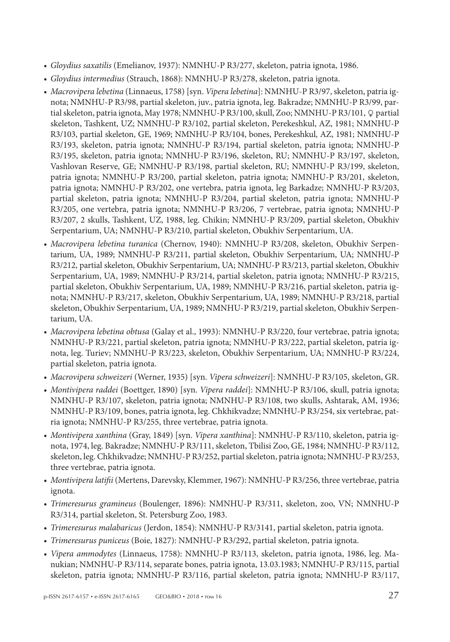- *• Gloydius saxatilis* (Emelianov, 1937): NMNHU-P R3/277, skeleton, patria ignota, 1986.
- *• Gloydius intermedius* (Strauch, 1868): NMNHU-P R3/278, skeleton, patria ignota.
- *• Macrovipera lebetina* (Linnaeus, 1758) [syn. *Vipera lebetina*]: NMNHU-P R3/97, skeleton, patria ignota; NMNHU-P R3/98, partial skeleton, juv., patria ignota, leg. Bakradze; NMNHU-P R3/99, partial skeleton, patria ignota, May 1978; NMNHU-P R3/100, skull, Zoo; NMNHU-P R3/101, Q partial skeleton, Tashkent, UZ; NMNHU-P R3/102, partial skeleton, Perekeshkul, AZ, 1981; NMNHU-P R3/103, partial skeleton, GE, 1969; NMNHU-P R3/104, bones, Perekeshkul, AZ, 1981; NMNHU-P R3/193, skeleton, patria ignota; NMNHU-P R3/194, partial skeleton, patria ignota; NMNHU-P R3/195, skeleton, patria ignota; NMNHU-P R3/196, skeleton, RU; NMNHU-P R3/197, skeleton, Vashlovan Reserve, GE; NMNHU-P R3/198, partial skeleton, RU; NMNHU-P R3/199, skeleton, patria ignota; NMNHU-P R3/200, partial skeleton, patria ignota; NMNHU-P R3/201, skeleton, patria ignota; NMNHU-P R3/202, one vertebra, patria ignota, leg Barkadze; NMNHU-P R3/203, partial skeleton, patria ignota; NMNHU-P R3/204, partial skeleton, patria ignota; NMNHU-P R3/205, one vertebra, patria ignota; NMNHU-P R3/206, 7 vertebrae, patria ignota; NMNHU-P R3/207, 2 skulls, Tashkent, UZ, 1988, leg. Chikin; NMNHU-P R3/209, partial skeleton, Obukhiv Serpentarium, UA; NMNHU-P R3/210, partial skeleton, Obukhiv Serpentarium, UA.
- *• Macrovipera lebetina turanica* (Chernov, 1940): NMNHU-P R3/208, skeleton, Obukhiv Serpentarium, UA, 1989; NMNHU-P R3/211, partial skeleton, Obukhiv Serpentarium, UA; NMNHU-P R3/212, partial skeleton, Obukhiv Serpentarium, UA; NMNHU-P R3/213, partial skeleton, Obukhiv Serpentarium, UA, 1989; NMNHU-P R3/214, partial skeleton, patria ignota; NMNHU-P R3/215, partial skeleton, Obukhiv Serpentarium, UA, 1989; NMNHU-P R3/216, partial skeleton, patria ignota; NMNHU-P R3/217, skeleton, Obukhiv Serpentarium, UA, 1989; NMNHU-P R3/218, partial skeleton, Obukhiv Serpentarium, UA, 1989; NMNHU-P R3/219, partial skeleton, Obukhiv Serpentarium, UA.
- *• Macrovipera lebetina obtusa* (Galay et al., 1993): NMNHU-P R3/220, four vertebrae, patria ignota; NMNHU-P R3/221, partial skeleton, patria ignota; NMNHU-P R3/222, partial skeleton, patria ignota, leg. Turiev; NMNHU-P R3/223, skeleton, Obukhiv Serpentarium, UA; NMNHU-P R3/224, partial skeleton, patria ignota.
- *• Macrovipera schweizeri* (Werner, 1935) [syn. *Vipera schweizeri*]: NMNHU-P R3/105, skeleton, GR.
- *• Montivipera raddei* (Boettger, 1890) [syn. *Vipera raddei*]: NMNHU-P R3/106, skull, patria ignota; NMNHU-P R3/107, skeleton, patria ignota; NMNHU-P R3/108, two skulls, Ashtarak, AM, 1936; NMNHU-P R3/109, bones, patria ignota, leg. Chkhikvadze; NMNHU-P R3/254, six vertebrae, patria ignota; NMNHU-P R3/255, three vertebrae, patria ignota.
- *• Montivipera xanthina* (Gray, 1849) [syn. *Vipera xanthina*]: NMNHU-P R3/110, skeleton, patria ignota, 1974, leg. Bakradze; NMNHU-P R3/111, skeleton, Tbilisi Zoo, GE, 1984; NMNHU-P R3/112, skeleton, leg. Chkhikvadze; NMNHU-P R3/252, partial skeleton, patria ignota; NMNHU-P R3/253, three vertebrae, patria ignota.
- *• Montivipera latifii* (Mertens, Darevsky, Klemmer, 1967): NMNHU-P R3/256, three vertebrae, patria ignota.
- *• Trimeresurus gramineus* (Boulenger, 1896): NMNHU-P R3/311, skeleton, zoo, VN; NMNHU-P R3/314, partial skeleton, St. Petersburg Zoo, 1983.
- *• Trimeresurus malabaricus* (Jerdon, 1854): NMNHU-P R3/3141, partial skeleton, patria ignota.
- *• Trimeresurus puniceus* (Boie, 1827): NMNHU-P R3/292, partial skeleton, patria ignota.
- *• Vipera ammodytes* (Linnaeus, 1758): NMNHU-P R3/113, skeleton, patria ignota, 1986, leg. Manukian; NMNHU-P R3/114, separate bones, patria ignota, 13.03.1983; NMNHU-P R3/115, partial skeleton, patria ignota; NMNHU-P R3/116, partial skeleton, patria ignota; NMNHU-P R3/117,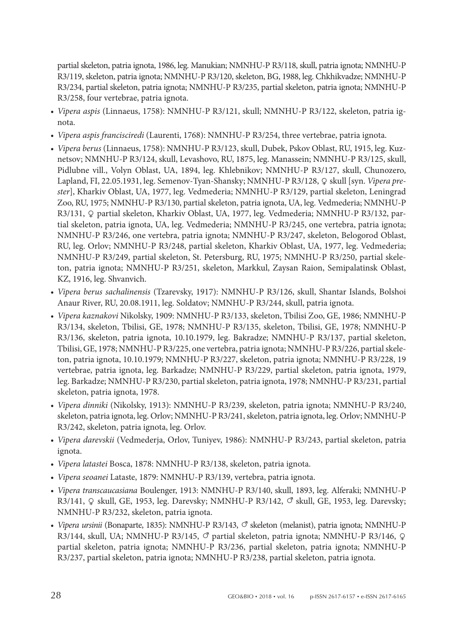partial skeleton, patria ignota, 1986, leg. Manukian; NMNHU-P R3/118, skull, patria ignota; NMNHU-P R3/119, skeleton, patria ignota; NMNHU-P R3/120, skeleton, BG, 1988, leg. Chkhikvadze; NMNHU-P R3/234, partial skeleton, patria ignota; NMNHU-P R3/235, partial skeleton, patria ignota; NMNHU-P R3/258, four vertebrae, patria ignota.

- *• Vipera aspis* (Linnaeus, 1758): NMNHU-P R3/121, skull; NMNHU-P R3/122, skeleton, patria ignota.
- *• Vipera aspis francisciredi* (Laurenti, 1768): NMNHU-P R3/254, three vertebrae, patria ignota.
- *• Vipera berus* (Linnaeus, 1758): NMNHU-P R3/123, skull, Dubek, Pskov Oblast, RU, 1915, leg. Kuznetsov; NMNHU-P R3/124, skull, Levashovo, RU, 1875, leg. Manassein; NMNHU-P R3/125, skull, Pidlubne vill., Volyn Oblast, UA, 1894, leg. Khlebnikov; NMNHU-P R3/127, skull, Chunozero, Lapland, FI, 22.05.1931, leg. Semenov-Tyan-Shansky; NMNHU-P R3/128, Q skull [syn. *Vipera prester*], Kharkiv Oblast, UA, 1977, leg. Vedmederia; NMNHU-P R3/129, partial skeleton, Leningrad Zoo, RU, 1975; NMNHU-P R3/130, partial skeleton, patria ignota, UA, leg. Vedmederia; NMNHU-P R3/131, Q partial skeleton, Kharkiv Oblast, UA, 1977, leg. Vedmederia; NMNHU-P R3/132, partial skeleton, patria ignota, UA, leg. Vedmederia; NMNHU-P R3/245, one vertebra, patria ignota; NMNHU-P R3/246, one vertebra, patria ignota; NMNHU-P R3/247, skeleton, Belogorod Oblast, RU, leg. Orlov; NMNHU-P R3/248, partial skeleton, Kharkiv Oblast, UA, 1977, leg. Vedmederia; NMNHU-P R3/249, partial skeleton, St. Petersburg, RU, 1975; NMNHU-P R3/250, partial skeleton, patria ignota; NMNHU-P R3/251, skeleton, Markkul, Zaysan Raion, Semipalatinsk Oblast, KZ, 1916, leg. Shvanvich.
- *• Vipera berus sachalinensis* (Tzarevsky, 1917): NMNHU-P R3/126, skull, Shantar Islands, Bolshoi Anaur River, RU, 20.08.1911, leg. Soldatov; NMNHU-P R3/244, skull, patria ignota.
- *• Vipera kaznakovi* Nikolsky, 1909: NMNHU-P R3/133, skeleton, Tbilisi Zoo, GE, 1986; NMNHU-P R3/134, skeleton, Tbilisi, GE, 1978; NMNHU-P R3/135, skeleton, Tbilisi, GE, 1978; NMNHU-P R3/136, skeleton, patria ignota, 10.10.1979, leg. Bakradze; NMNHU-P R3/137, partial skeleton, Tbilisi, GE, 1978; NMNHU-P R3/225, one vertebra, patria ignota; NMNHU-P R3/226, partial skeleton, patria ignota, 10.10.1979; NMNHU-P R3/227, skeleton, patria ignota; NMNHU-P R3/228, 19 vertebrae, patria ignota, leg. Barkadze; NMNHU-P R3/229, partial skeleton, patria ignota, 1979, leg. Barkadze; NMNHU-P R3/230, partial skeleton, patria ignota, 1978; NMNHU-P R3/231, partial skeleton, patria ignota, 1978.
- *• Vipera dinniki* (Nikolsky, 1913): NMNHU-P R3/239, skeleton, patria ignota; NMNHU-P R3/240, skeleton, patria ignota, leg. Orlov; NMNHU-P R3/241, skeleton, patria ignota, leg. Orlov; NMNHU-P R3/242, skeleton, patria ignota, leg. Orlov.
- *• Vipera darevskii* (Vedmederja, Orlov, Tuniyev, 1986): NMNHU-P R3/243, partial skeleton, patria ignota.
- *• Vipera latastei* Bosca, 1878: NMNHU-P R3/138, skeleton, patria ignota.
- *• Vipera seoanei* Lataste, 1879: NMNHU-P R3/139, vertebra, patria ignota.
- *• Vipera transcaucasiana* Boulenger, 1913: NMNHU-P R3/140, skull, 1893, leg. Alferaki; NMNHU-P R3/141,  $\varphi$  skull, GE, 1953, leg. Darevsky; NMNHU-P R3/142,  $\varphi$  skull, GE, 1953, leg. Darevsky; NMNHU-P R3/232, skeleton, patria ignota.
- *Vipera ursinii* (Bonaparte, 1835): NMNHU-P R3/143,  $\circ$  skeleton (melanist), patria ignota; NMNHU-P R3/144, skull, UA; NMNHU-P R3/145,  $\circ$  partial skeleton, patria ignota; NMNHU-P R3/146,  $\circ$ partial skeleton, patria ignota; NMNHU-P R3/236, partial skeleton, patria ignota; NMNHU-P R3/237, partial skeleton, patria ignota; NMNHU-P R3/238, partial skeleton, patria ignota.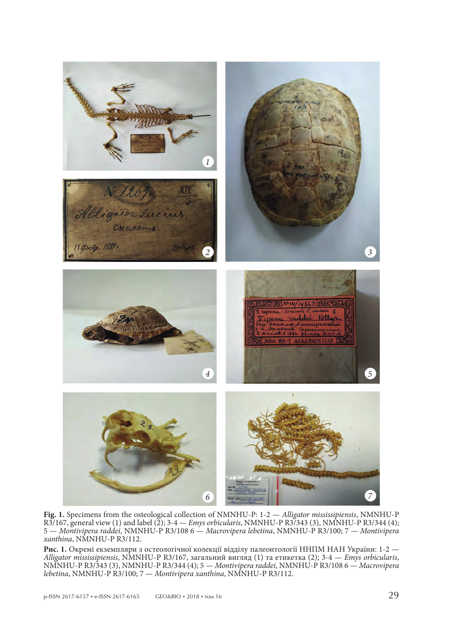

**Fig. 1.** Specimens from the osteological collection of NMNHU-P: 1-2 — *Alligator mississipiensis*, NMNHU-P R3/167, general view (1) and label (2); 3-4 — *Emys orbicularis*, NMNHU-P R3/343 (3), NMNHU-P R3/344 (4); 5 — *Montivipera raddei*, NMNHU-P R3/108 6 — *Macrovipera lebetina*, NMNHU-P R3/100; 7 — *Montivipera xanthina*, NMNHU-P R3/112.

Рис. 1. Окремі екземпляри з остеологічної колекції відділу палеонтології ННПМ НАН України: 1-2 — Alligator mississipiensis, NMNHU-P R3/167, загальний вигляд (1) та етикетка (2); 3-4 — Emys orbicularis, NMNHU-P R3/343 (3), NMNHU-P R3/344 (4); 5 - Montivipera raddei, NMNHU-P R3/108 6 - Macrovipera *lebetina*, NMNHU-P R3/100; 7 — *Montivipera xanthina*, NMNHU-P R3/112.